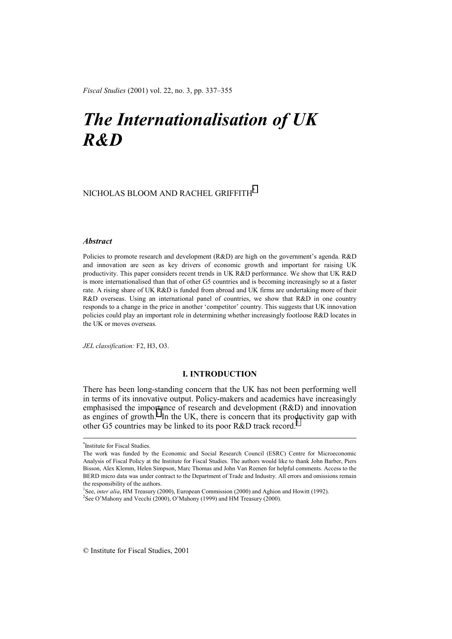*Fiscal Studies* (2001) vol. 22, no. 3, pp. 337–355

# *The Internationalisation of UK R&D*

# NICHOLAS BLOOM AND RACHEL GRIFFITH\*

# *Abstract*

Policies to promote research and development (R&D) are high on the government's agenda. R&D and innovation are seen as key drivers of economic growth and important for raising UK productivity. This paper considers recent trends in UK R&D performance. We show that UK R&D is more internationalised than that of other G5 countries and is becoming increasingly so at a faster rate. A rising share of UK R&D is funded from abroad and UK firms are undertaking more of their R&D overseas. Using an international panel of countries, we show that R&D in one country responds to a change in the price in another 'competitor' country. This suggests that UK innovation policies could play an important role in determining whether increasingly footloose R&D locates in the UK or moves overseas.

*JEL classification:* F2, H3, O3.

# **I. INTRODUCTION**

There has been long-standing concern that the UK has not been performing well in terms of its innovative output. Policy-makers and academics have increasingly emphasised the importance of research and development (R&D) and innovation as engines of growth.<sup>1</sup> In the UK, there is concern that its productivity gap with other G5 countries may be linked to its poor R&D track record.<sup>2</sup>

 <sup>\*</sup> \*Institute for Fiscal Studies.

The work was funded by the Economic and Social Research Council (ESRC) Centre for Microeconomic Analysis of Fiscal Policy at the Institute for Fiscal Studies. The authors would like to thank John Barber, Piers Bisson, Alex Klemm, Helen Simpson, Marc Thomas and John Van Reenen for helpful comments. Access to the BERD micro data was under contract to the Department of Trade and Industry. All errors and omissions remain the responsibility of the authors.

<sup>&</sup>lt;sup>1</sup>See, *inter alia*, HM Treasury (2000), European Commission (2000) and Aghion and Howitt (1992). <sup>2</sup>See O'Mahony and Vecchi (2000), O'Mahony (1999) and HM Treasury (2000).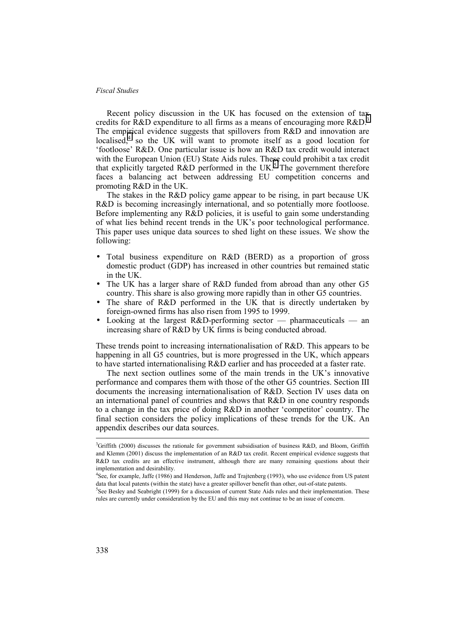Recent policy discussion in the UK has focused on the extension of tax credits for R&D expenditure to all firms as a means of encouraging more  $R&D^3$ The empirical evidence suggests that spillovers from R&D and innovation are localised,<sup>4</sup> so the UK will want to promote itself as a good location for 'footloose' R&D. One particular issue is how an R&D tax credit would interact with the European Union (EU) State Aids rules. These could prohibit a tax credit that explicitly targeted R&D performed in the UK.<sup>5</sup> The government therefore faces a balancing act between addressing EU competition concerns and promoting R&D in the UK.

The stakes in the R&D policy game appear to be rising, in part because UK R&D is becoming increasingly international, and so potentially more footloose. Before implementing any R&D policies, it is useful to gain some understanding of what lies behind recent trends in the UK's poor technological performance. This paper uses unique data sources to shed light on these issues. We show the following:

- Total business expenditure on R&D (BERD) as a proportion of gross domestic product (GDP) has increased in other countries but remained static in the UK.
- The UK has a larger share of R&D funded from abroad than any other G5 country. This share is also growing more rapidly than in other G5 countries.
- The share of R&D performed in the UK that is directly undertaken by foreign-owned firms has also risen from 1995 to 1999.
- Looking at the largest  $R\&D$ -performing sector pharmaceuticals an increasing share of R&D by UK firms is being conducted abroad.

These trends point to increasing internationalisation of R&D. This appears to be happening in all G5 countries, but is more progressed in the UK, which appears to have started internationalising R&D earlier and has proceeded at a faster rate.

The next section outlines some of the main trends in the UK's innovative performance and compares them with those of the other G5 countries. Section III documents the increasing internationalisation of R&D. Section IV uses data on an international panel of countries and shows that R&D in one country responds to a change in the tax price of doing R&D in another 'competitor' country. The final section considers the policy implications of these trends for the UK. An appendix describes our data sources.

<sup>&</sup>lt;sup>-</sup><br>3  ${}^{3}$ Griffith (2000) discusses the rationale for government subsidisation of business R&D, and Bloom, Griffith and Klemm (2001) discuss the implementation of an R&D tax credit. Recent empirical evidence suggests that R&D tax credits are an effective instrument, although there are many remaining questions about their implementation and desirability.

<sup>4</sup> See, for example, Jaffe (1986) and Henderson, Jaffe and Trajtenberg (1993), who use evidence from US patent data that local patents (within the state) have a greater spillover benefit than other, out-of-state patents.

<sup>&</sup>lt;sup>5</sup>See Besley and Seabright (1999) for a discussion of current State Aids rules and their implementation. These rules are currently under consideration by the EU and this may not continue to be an issue of concern.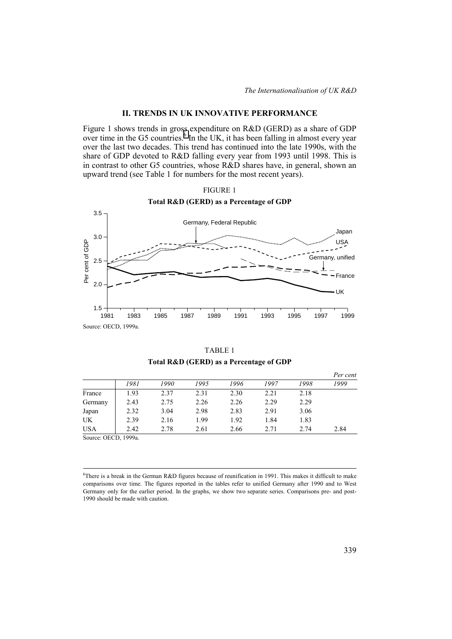# **II. TRENDS IN UK INNOVATIVE PERFORMANCE**

Figure 1 shows trends in gross expenditure on R&D (GERD) as a share of GDP over time in the G5 countries.<sup>6</sup> In the UK, it has been falling in almost every year over the last two decades. This trend has continued into the late 1990s, with the share of GDP devoted to R&D falling every year from 1993 until 1998. This is in contrast to other G5 countries, whose R&D shares have, in general, shown an upward trend (see Table 1 for numbers for the most recent years).





TABLE 1 **Total R&D (GERD) as a Percentage of GDP** 

|         |      |      |      |      |      |      | Per cent |
|---------|------|------|------|------|------|------|----------|
|         | 1981 | 1990 | 1995 | 1996 | 1997 | 1998 | 1999     |
| France  | 1.93 | 2.37 | 2.31 | 2.30 | 2.21 | 2.18 |          |
| Germany | 2.43 | 2.75 | 2.26 | 2.26 | 2.29 | 2.29 |          |
| Japan   | 2.32 | 3.04 | 2.98 | 2.83 | 2.91 | 3.06 |          |
| UK      | 2.39 | 2.16 | 1.99 | 1.92 | 1.84 | 1.83 |          |
| USA     | 2.42 | 2.78 | 2.61 | 2.66 | 2.71 | 2.74 | 2.84     |

Source: OECD, 1999a.

 $\frac{1}{6}$ There is a break in the German R&D figures because of reunification in 1991. This makes it difficult to make comparisons over time. The figures reported in the tables refer to unified Germany after 1990 and to West Germany only for the earlier period. In the graphs, we show two separate series. Comparisons pre- and post-1990 should be made with caution.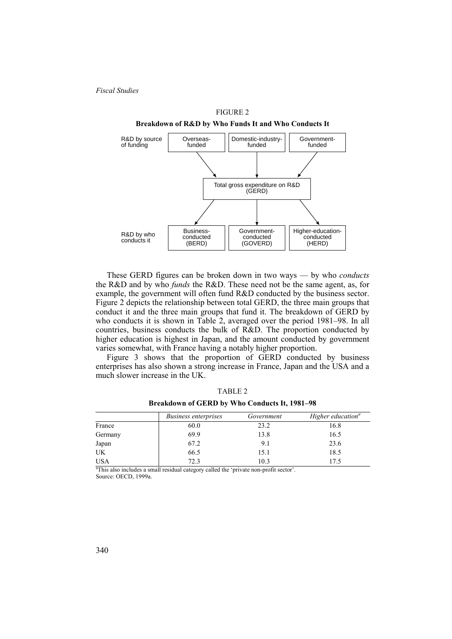

FIGURE 2

These GERD figures can be broken down in two ways — by who *conducts* the R&D and by who *funds* the R&D. These need not be the same agent, as, for example, the government will often fund R&D conducted by the business sector. Figure 2 depicts the relationship between total GERD, the three main groups that conduct it and the three main groups that fund it. The breakdown of GERD by who conducts it is shown in Table 2, averaged over the period 1981–98. In all countries, business conducts the bulk of R&D. The proportion conducted by higher education is highest in Japan, and the amount conducted by government varies somewhat, with France having a notably higher proportion.

Figure 3 shows that the proportion of GERD conducted by business enterprises has also shown a strong increase in France, Japan and the USA and a much slower increase in the UK.

|            | <i>Business enterprises</i> | Government | Higher education <sup>a</sup> |
|------------|-----------------------------|------------|-------------------------------|
| France     | 60.0                        | 23.2       | 16.8                          |
| Germany    | 69.9                        | 13.8       | 16.5                          |
| Japan      | 67.2                        | 9.1        | 23.6                          |
| UK         | 66.5                        | 15.1       | 18.5                          |
| <b>USA</b> | 72.3                        | 10.3       | 17.5                          |

TABLE 2 **Breakdown of GERD by Who Conducts It, 1981–98** 

<sup>a</sup>This also includes a small residual category called the 'private non-profit sector'. Source: OECD, 1999a.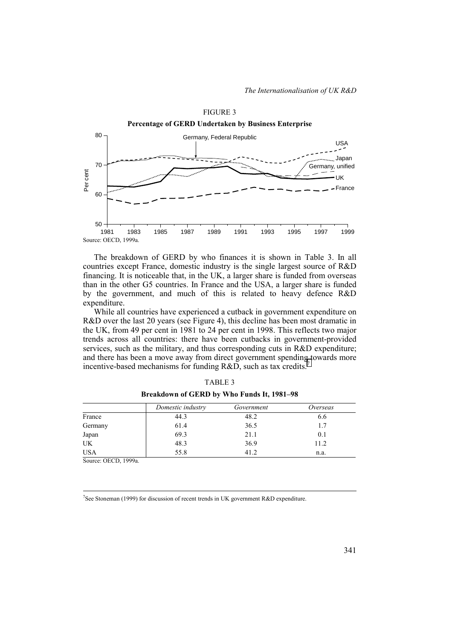

The breakdown of GERD by who finances it is shown in Table 3. In all countries except France, domestic industry is the single largest source of R&D financing. It is noticeable that, in the UK, a larger share is funded from overseas than in the other G5 countries. In France and the USA, a larger share is funded by the government, and much of this is related to heavy defence R&D expenditure.

While all countries have experienced a cutback in government expenditure on R&D over the last 20 years (see Figure 4), this decline has been most dramatic in the UK, from 49 per cent in 1981 to 24 per cent in 1998. This reflects two major trends across all countries: there have been cutbacks in government-provided services, such as the military, and thus corresponding cuts in R&D expenditure; and there has been a move away from direct government spending towards more incentive-based mechanisms for funding R&D, such as tax credits.

|            | Domestic industry | Government | Overseas |
|------------|-------------------|------------|----------|
| France     | 44.3              | 48.2       | 0.6      |
| Germany    | 61.4              | 36.5       | 1.7      |
| Japan      | 69.3              | 21.1       | 0.1      |
| UK         | 48.3              | 36.9       | 11.2     |
| <b>USA</b> | 55.8              | 41.2       | n.a.     |

TABLE 3 **Breakdown of GERD by Who Funds It, 1981–98** 

Source: OECD, 1999a.

-<br>7 <sup>7</sup>See Stoneman (1999) for discussion of recent trends in UK government R&D expenditure.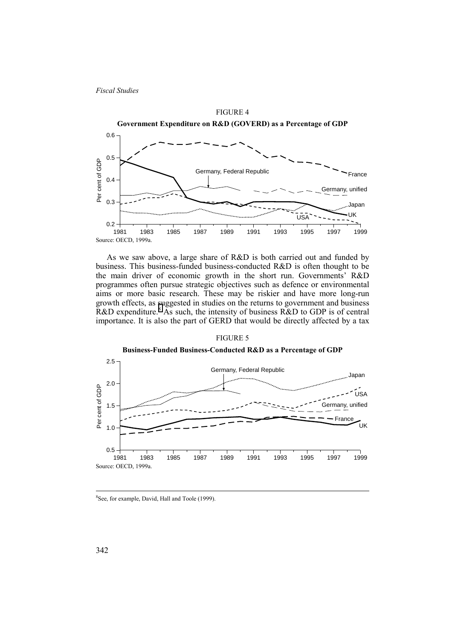

As we saw above, a large share of R&D is both carried out and funded by business. This business-funded business-conducted R&D is often thought to be the main driver of economic growth in the short run. Governments' R&D programmes often pursue strategic objectives such as defence or environmental aims or more basic research. These may be riskier and have more long-run growth effects, as suggested in studies on the returns to government and business  $R&D$  expenditure.<sup>8</sup> As such, the intensity of business  $R&D$  to GDP is of central importance. It is also the part of GERD that would be directly affected by a tax

## FIGURE 5



#### $\frac{1}{8}$ <sup>8</sup>See, for example, David, Hall and Toole (1999).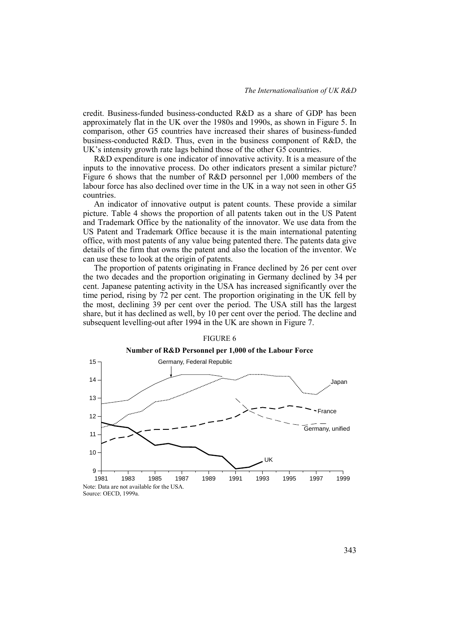credit. Business-funded business-conducted R&D as a share of GDP has been approximately flat in the UK over the 1980s and 1990s, as shown in Figure 5. In comparison, other G5 countries have increased their shares of business-funded business-conducted R&D. Thus, even in the business component of R&D, the UK's intensity growth rate lags behind those of the other G5 countries.

R&D expenditure is one indicator of innovative activity. It is a measure of the inputs to the innovative process. Do other indicators present a similar picture? Figure 6 shows that the number of R&D personnel per 1,000 members of the labour force has also declined over time in the UK in a way not seen in other G5 countries.

An indicator of innovative output is patent counts. These provide a similar picture. Table 4 shows the proportion of all patents taken out in the US Patent and Trademark Office by the nationality of the innovator. We use data from the US Patent and Trademark Office because it is the main international patenting office, with most patents of any value being patented there. The patents data give details of the firm that owns the patent and also the location of the inventor. We can use these to look at the origin of patents.

The proportion of patents originating in France declined by 26 per cent over the two decades and the proportion originating in Germany declined by 34 per cent. Japanese patenting activity in the USA has increased significantly over the time period, rising by 72 per cent. The proportion originating in the UK fell by the most, declining 39 per cent over the period. The USA still has the largest share, but it has declined as well, by 10 per cent over the period. The decline and subsequent levelling-out after 1994 in the UK are shown in Figure 7.



### FIGURE 6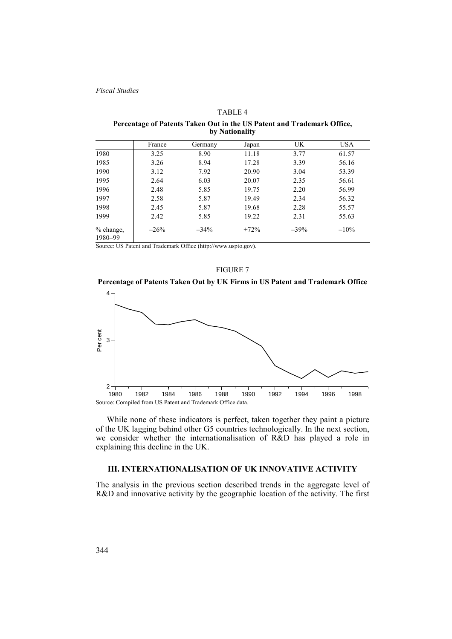#### TABLE 4

**Percentage of Patents Taken Out in the US Patent and Trademark Office, by Nationality** 

|                      | France | Germany | Japan  | UK     | <b>USA</b> |
|----------------------|--------|---------|--------|--------|------------|
| 1980                 | 3.25   | 8.90    | 11.18  | 3.77   | 61.57      |
| 1985                 | 3.26   | 8.94    | 17.28  | 3.39   | 56.16      |
| 1990                 | 3.12   | 7.92    | 20.90  | 3.04   | 53.39      |
| 1995                 | 2.64   | 6.03    | 20.07  | 2.35   | 56.61      |
| 1996                 | 2.48   | 5.85    | 19.75  | 2.20   | 56.99      |
| 1997                 | 2.58   | 5.87    | 19.49  | 2.34   | 56.32      |
| 1998                 | 2.45   | 5.87    | 19.68  | 2.28   | 55.57      |
| 1999                 | 2.42   | 5.85    | 19.22  | 2.31   | 55.63      |
| % change,<br>1980-99 | $-26%$ | $-34\%$ | $+72%$ | $-39%$ | $-10\%$    |

Source: US Patent and Trademark Office (http://www.uspto.gov).

#### FIGURE 7





While none of these indicators is perfect, taken together they paint a picture of the UK lagging behind other G5 countries technologically. In the next section, we consider whether the internationalisation of R&D has played a role in explaining this decline in the UK.

# **III. INTERNATIONALISATION OF UK INNOVATIVE ACTIVITY**

The analysis in the previous section described trends in the aggregate level of R&D and innovative activity by the geographic location of the activity. The first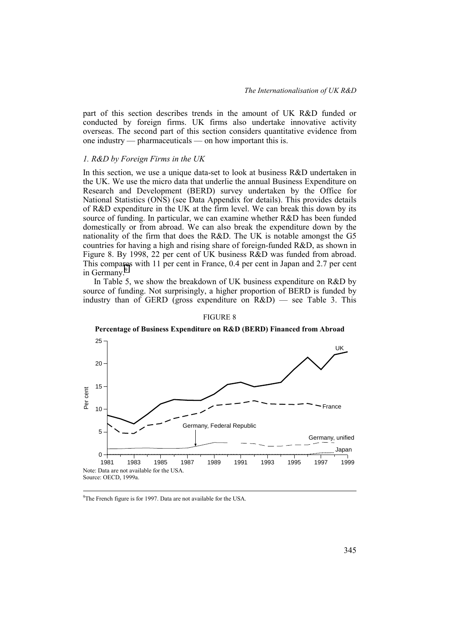part of this section describes trends in the amount of UK R&D funded or conducted by foreign firms. UK firms also undertake innovative activity overseas. The second part of this section considers quantitative evidence from one industry — pharmaceuticals — on how important this is.

#### *1. R&D by Foreign Firms in the UK*

In this section, we use a unique data-set to look at business R&D undertaken in the UK. We use the micro data that underlie the annual Business Expenditure on Research and Development (BERD) survey undertaken by the Office for National Statistics (ONS) (see Data Appendix for details). This provides details of R&D expenditure in the UK at the firm level. We can break this down by its source of funding. In particular, we can examine whether R&D has been funded domestically or from abroad. We can also break the expenditure down by the nationality of the firm that does the R&D. The UK is notable amongst the G5 countries for having a high and rising share of foreign-funded R&D, as shown in Figure 8. By 1998, 22 per cent of UK business R&D was funded from abroad. This compares with 11 per cent in France, 0.4 per cent in Japan and 2.7 per cent in Germany.<sup>9</sup>

In Table 5, we show the breakdown of UK business expenditure on R&D by source of funding. Not surprisingly, a higher proportion of BERD is funded by industry than of GERD (gross expenditure on R&D) — see Table 3. This



## FIGURE 8

## **Percentage of Business Expenditure on R&D (BERD) Financed from Abroad**

-<br>9 <sup>9</sup>The French figure is for 1997. Data are not available for the USA.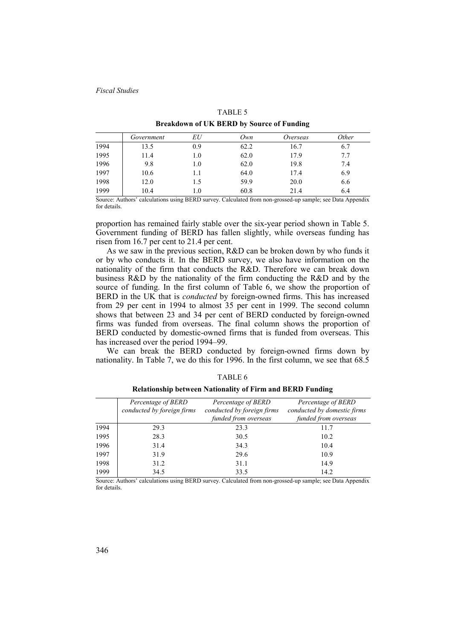|                                                  |  | TABLE 3  |  |  |  |  |
|--------------------------------------------------|--|----------|--|--|--|--|
| <b>Breakdown of UK BERD by Source of Funding</b> |  |          |  |  |  |  |
| . 4                                              |  | $\Omega$ |  |  |  |  |

 $TATE$ 

|      | Government | EU  | Own  | Overseas | <i>Other</i> |
|------|------------|-----|------|----------|--------------|
| 1994 | 13.5       | 0.9 | 62.2 | 16.7     | 6.7          |
| 1995 | 11.4       | 1.0 | 62.0 | 17.9     | 7.7          |
| 1996 | 9.8        | 1.0 | 62.0 | 19.8     | 7.4          |
| 1997 | 10.6       |     | 64.0 | 17.4     | 6.9          |
| 1998 | 12.0       | 1.5 | 59.9 | 20.0     | 6.6          |
| 1999 | 10.4       | 1.0 | 60.8 | 21.4     | 6.4          |

Source: Authors' calculations using BERD survey. Calculated from non-grossed-up sample; see Data Appendix for details.

proportion has remained fairly stable over the six-year period shown in Table 5. Government funding of BERD has fallen slightly, while overseas funding has risen from 16.7 per cent to 21.4 per cent.

As we saw in the previous section, R&D can be broken down by who funds it or by who conducts it. In the BERD survey, we also have information on the nationality of the firm that conducts the R&D. Therefore we can break down business R&D by the nationality of the firm conducting the R&D and by the source of funding. In the first column of Table 6, we show the proportion of BERD in the UK that is *conducted* by foreign-owned firms. This has increased from 29 per cent in 1994 to almost 35 per cent in 1999. The second column shows that between 23 and 34 per cent of BERD conducted by foreign-owned firms was funded from overseas. The final column shows the proportion of BERD conducted by domestic-owned firms that is funded from overseas. This has increased over the period 1994–99.

We can break the BERD conducted by foreign-owned firms down by nationality. In Table 7, we do this for 1996. In the first column, we see that 68.5

| n. |
|----|
|----|

**Relationship between Nationality of Firm and BERD Funding** 

|      | Percentage of BERD<br>conducted by foreign firms | Percentage of BERD<br>conducted by foreign firms<br>funded from overseas | Percentage of BERD<br>conducted by domestic firms<br>funded from overseas |
|------|--------------------------------------------------|--------------------------------------------------------------------------|---------------------------------------------------------------------------|
| 1994 | 29.3                                             | 23.3                                                                     | 11.7                                                                      |
| 1995 | 28.3                                             | 30.5                                                                     | 10.2                                                                      |
| 1996 | 31.4                                             | 34.3                                                                     | 10.4                                                                      |
| 1997 | 31.9                                             | 29.6                                                                     | 10.9                                                                      |
| 1998 | 31.2                                             | 31.1                                                                     | 14.9                                                                      |
| 1999 | 34.5                                             | 33.5                                                                     | 14.2                                                                      |

Source: Authors' calculations using BERD survey. Calculated from non-grossed-up sample; see Data Appendix for details.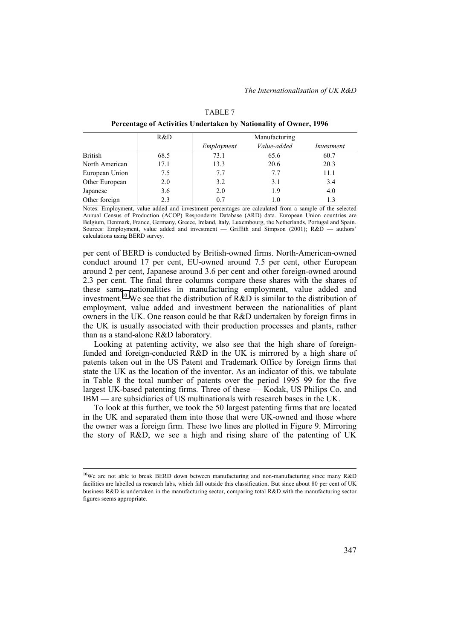| R&D  | Manufacturing |             |            |  |
|------|---------------|-------------|------------|--|
|      | Employment    | Value-added | Investment |  |
| 68.5 | 73.1          | 65.6        | 60.7       |  |
| 17.1 | 13.3          | 20.6        | 20.3       |  |
| 7.5  | 7.7           | 7.7         | 11.1       |  |
| 2.0  | 3.2           | 3.1         | 3.4        |  |
| 3.6  | 2.0           | 1.9         | 4.0        |  |
| 2.3  | 0.7           | 1.0         | 1.3        |  |
|      |               |             |            |  |

| TABLE 7                                                           |  |
|-------------------------------------------------------------------|--|
| Percentage of Activities Undertaken by Nationality of Owner, 1996 |  |

Notes: Employment, value added and investment percentages are calculated from a sample of the selected Annual Census of Production (ACOP) Respondents Database (ARD) data. European Union countries are Belgium, Denmark, France, Germany, Greece, Ireland, Italy, Luxembourg, the Netherlands, Portugal and Spain. Sources: Employment, value added and investment — Griffith and Simpson (2001); R&D — authors' calculations using BERD survey.

per cent of BERD is conducted by British-owned firms. North-American-owned conduct around 17 per cent, EU-owned around 7.5 per cent, other European around 2 per cent, Japanese around 3.6 per cent and other foreign-owned around 2.3 per cent. The final three columns compare these shares with the shares of these same nationalities in manufacturing employment, value added and investment.<sup>10</sup> We see that the distribution of R&D is similar to the distribution of employment, value added and investment between the nationalities of plant owners in the UK. One reason could be that R&D undertaken by foreign firms in the UK is usually associated with their production processes and plants, rather than as a stand-alone R&D laboratory.

Looking at patenting activity, we also see that the high share of foreignfunded and foreign-conducted R&D in the UK is mirrored by a high share of patents taken out in the US Patent and Trademark Office by foreign firms that state the UK as the location of the inventor. As an indicator of this, we tabulate in Table 8 the total number of patents over the period 1995–99 for the five largest UK-based patenting firms. Three of these — Kodak, US Philips Co. and IBM — are subsidiaries of US multinationals with research bases in the UK.

To look at this further, we took the 50 largest patenting firms that are located in the UK and separated them into those that were UK-owned and those where the owner was a foreign firm. These two lines are plotted in Figure 9. Mirroring the story of R&D, we see a high and rising share of the patenting of UK

<sup>&</sup>lt;sup>10</sup>We are not able to break BERD down between manufacturing and non-manufacturing since many R&D facilities are labelled as research labs, which fall outside this classification. But since about 80 per cent of UK business R&D is undertaken in the manufacturing sector, comparing total R&D with the manufacturing sector figures seems appropriate.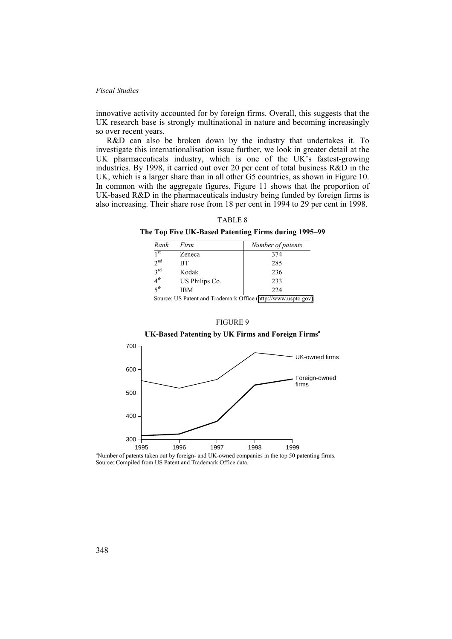innovative activity accounted for by foreign firms. Overall, this suggests that the UK research base is strongly multinational in nature and becoming increasingly so over recent years.

R&D can also be broken down by the industry that undertakes it. To investigate this internationalisation issue further, we look in greater detail at the UK pharmaceuticals industry, which is one of the UK's fastest-growing industries. By 1998, it carried out over 20 per cent of total business R&D in the UK, which is a larger share than in all other G5 countries, as shown in Figure 10. In common with the aggregate figures, Figure 11 shows that the proportion of UK-based R&D in the pharmaceuticals industry being funded by foreign firms is also increasing. Their share rose from 18 per cent in 1994 to 29 per cent in 1998.

# TABLE 8

### **The Top Five UK-Based Patenting Firms during 1995–99**

| Rank            | Firm           | Number of patents |
|-----------------|----------------|-------------------|
| 1 <sup>st</sup> | Zeneca         | 374               |
| 2 <sub>nd</sub> | <b>BT</b>      | 285               |
| $3^{\text{rd}}$ | Kodak          | 236               |
| 4 <sup>th</sup> | US Philips Co. | 233               |
| 5 <sup>th</sup> | IBM            | 224               |

Source: US Patent and Trademark Office ([http://www.uspto.gov\)](http://www.uspto.gov/).



**UK-Based Patenting by UK Firms and Foreign Firmsa**



<sup>a</sup>Number of patents taken out by foreign- and UK-owned companies in the top 50 patenting firms. Source: Compiled from US Patent and Trademark Office data.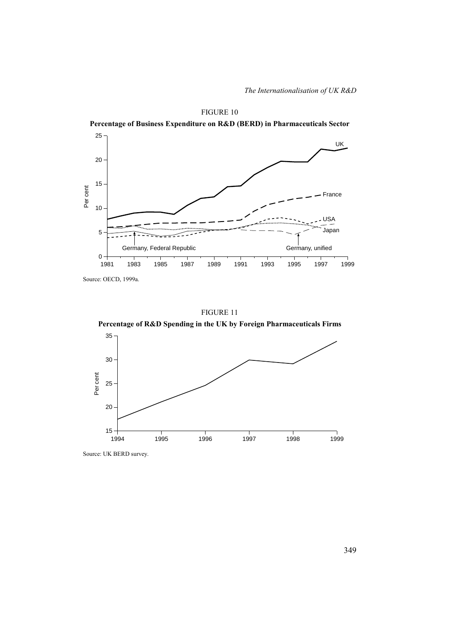

Source: OECD, 1999a.

FIGURE 11

**Percentage of R&D Spending in the UK by Foreign Pharmaceuticals Firms** 



Source: UK BERD survey.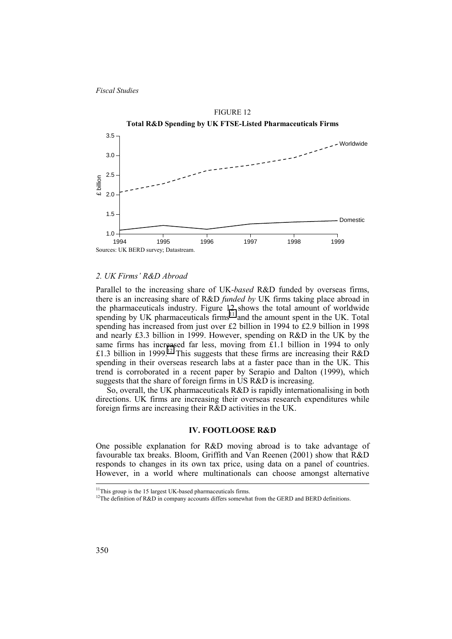

### *2. UK Firms' R&D Abroad*

Parallel to the increasing share of UK-*based* R&D funded by overseas firms, there is an increasing share of R&D *funded by* UK firms taking place abroad in the pharmaceuticals industry. Figure 12 shows the total amount of worldwide spending by UK pharmaceuticals  $firms<sup>11</sup>$  and the amount spent in the UK. Total spending has increased from just over £2 billion in 1994 to £2.9 billion in 1998 and nearly £3.3 billion in 1999. However, spending on R&D in the UK by the same firms has increased far less, moving from £1.1 billion in 1994 to only £1.3 billion in 1999.<sup>12</sup> This suggests that these firms are increasing their R&D spending in their overseas research labs at a faster pace than in the UK. This trend is corroborated in a recent paper by Serapio and Dalton (1999), which suggests that the share of foreign firms in US R&D is increasing.

So, overall, the UK pharmaceuticals R&D is rapidly internationalising in both directions. UK firms are increasing their overseas research expenditures while foreign firms are increasing their R&D activities in the UK.

## **IV. FOOTLOOSE R&D**

One possible explanation for R&D moving abroad is to take advantage of favourable tax breaks. Bloom, Griffith and Van Reenen (2001) show that R&D responds to changes in its own tax price, using data on a panel of countries. However, in a world where multinationals can choose amongst alternative

<sup>&</sup>lt;sup>11</sup>This group is the 15 largest UK-based pharmaceuticals firms.

<sup>&</sup>lt;sup>12</sup>The definition of R&D in company accounts differs somewhat from the GERD and BERD definitions.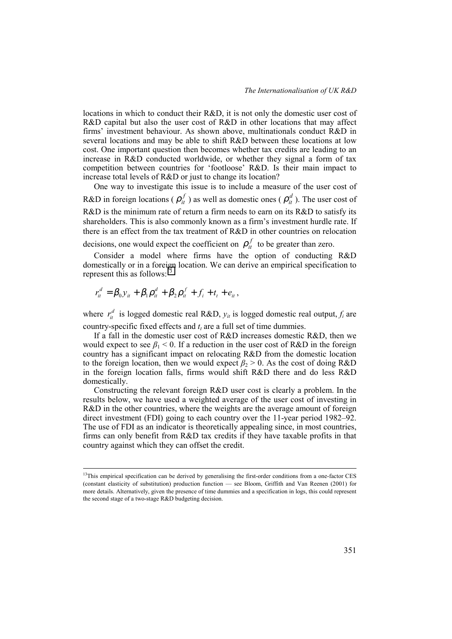locations in which to conduct their R&D, it is not only the domestic user cost of R&D capital but also the user cost of R&D in other locations that may affect firms' investment behaviour. As shown above, multinationals conduct R&D in several locations and may be able to shift R&D between these locations at low cost. One important question then becomes whether tax credits are leading to an increase in R&D conducted worldwide, or whether they signal a form of tax competition between countries for 'footloose' R&D. Is their main impact to increase total levels of R&D or just to change its location?

One way to investigate this issue is to include a measure of the user cost of R&D in foreign locations ( $\rho_i^f$ ) as well as domestic ones ( $\rho_i^d$ ). The user cost of R&D is the minimum rate of return a firm needs to earn on its R&D to satisfy its shareholders. This is also commonly known as a firm's investment hurdle rate. If there is an effect from the tax treatment of R&D in other countries on relocation

decisions, one would expect the coefficient on  $\rho_i^f$  to be greater than zero.

Consider a model where firms have the option of conducting R&D domestically or in a foreign location. We can derive an empirical specification to represent this as follows: $<sup>1</sup>$ </sup>

$$
r_{it}^d = \beta_0 y_{it} + \beta_1 \rho_{it}^d + \beta_2 \rho_{it}^f + f_i + t_t + e_{it},
$$

where  $r_i^d$  is logged domestic real R&D,  $y_i$  is logged domestic real output,  $f_i$  are country-specific fixed effects and  $t_t$  are a full set of time dummies.

If a fall in the domestic user cost of R&D increases domestic R&D, then we would expect to see  $\beta_1$  < 0. If a reduction in the user cost of R&D in the foreign country has a significant impact on relocating R&D from the domestic location to the foreign location, then we would expect  $\beta_2 > 0$ . As the cost of doing R&D in the foreign location falls, firms would shift R&D there and do less R&D domestically.

Constructing the relevant foreign R&D user cost is clearly a problem. In the results below, we have used a weighted average of the user cost of investing in R&D in the other countries, where the weights are the average amount of foreign direct investment (FDI) going to each country over the 11-year period 1982–92. The use of FDI as an indicator is theoretically appealing since, in most countries, firms can only benefit from R&D tax credits if they have taxable profits in that country against which they can offset the credit.

<sup>&</sup>lt;sup>13</sup>This empirical specification can be derived by generalising the first-order conditions from a one-factor CES (constant elasticity of substitution) production function — see Bloom, Griffith and Van Reenen (2001) for more details. Alternatively, given the presence of time dummies and a specification in logs, this could represent the second stage of a two-stage R&D budgeting decision.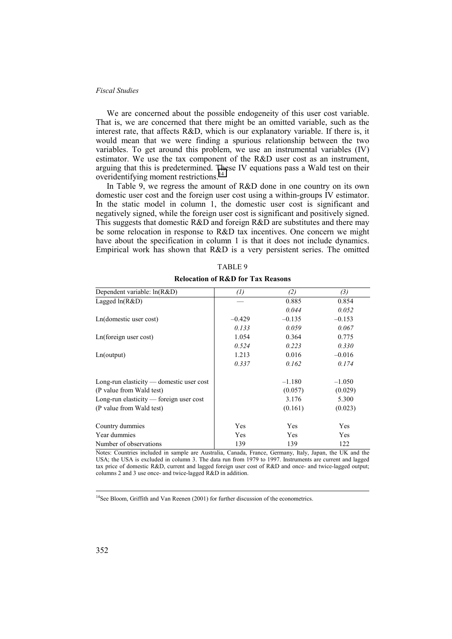We are concerned about the possible endogeneity of this user cost variable. That is, we are concerned that there might be an omitted variable, such as the interest rate, that affects R&D, which is our explanatory variable. If there is, it would mean that we were finding a spurious relationship between the two variables. To get around this problem, we use an instrumental variables (IV) estimator. We use the tax component of the R&D user cost as an instrument, arguing that this is predetermined. These IV equations pass a Wald test on their overidentifying moment restrictions.<sup>14</sup>

In Table 9, we regress the amount of R&D done in one country on its own domestic user cost and the foreign user cost using a within-groups IV estimator. In the static model in column 1, the domestic user cost is significant and negatively signed, while the foreign user cost is significant and positively signed. This suggests that domestic R&D and foreign R&D are substitutes and there may be some relocation in response to R&D tax incentives. One concern we might have about the specification in column 1 is that it does not include dynamics. Empirical work has shown that R&D is a very persistent series. The omitted

| Dependent variable: ln(R&D)              | $\left( l\right)$ | (2)      | (3)      |
|------------------------------------------|-------------------|----------|----------|
| Lagged $ln(R&D)$                         |                   | 0.885    | 0.854    |
|                                          |                   | 0.044    | 0.052    |
| Ln(domestic user cost)                   | $-0.429$          | $-0.135$ | $-0.153$ |
|                                          | 0.133             | 0.059    | 0.067    |
| Ln(foreign user cost)                    | 1.054             | 0.364    | 0.775    |
|                                          | 0.524             | 0.223    | 0.330    |
| Ln(output)                               | 1.213             | 0.016    | $-0.016$ |
|                                          | 0.337             | 0.162    | 0.174    |
| Long-run elasticity — domestic user cost |                   | $-1.180$ | $-1.050$ |
| (P value from Wald test)                 |                   | (0.057)  | (0.029)  |
| Long-run elasticity — foreign user cost  |                   | 3.176    | 5.300    |
| (P value from Wald test)                 |                   | (0.161)  | (0.023)  |
| Country dummies                          | Yes               | Yes      | Yes      |
| Year dummies                             | Yes               | Yes      | Yes      |
| Number of observations                   | 139               | 139      | 122      |

| TABLE 9                                      |
|----------------------------------------------|
| <b>Relocation of R&amp;D for Tax Reasons</b> |

Notes: Countries included in sample are Australia, Canada, France, Germany, Italy, Japan, the UK and the USA; the USA is excluded in column 3. The data run from 1979 to 1997. Instruments are current and lagged tax price of domestic R&D, current and lagged foreign user cost of R&D and once- and twice-lagged output; columns 2 and 3 use once- and twice-lagged R&D in addition.

<sup>14</sup>See Bloom, Griffith and Van Reenen (2001) for further discussion of the econometrics.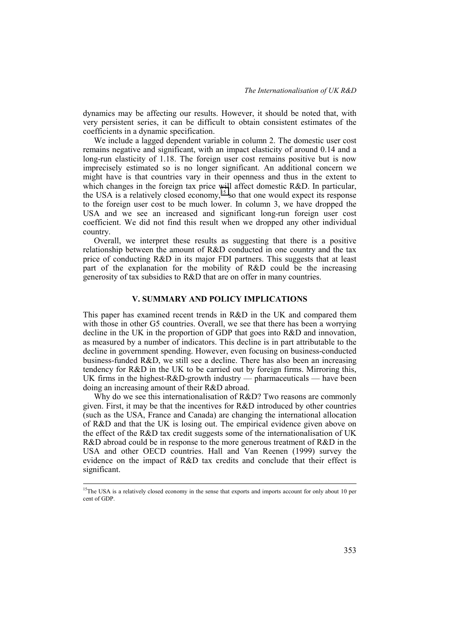dynamics may be affecting our results. However, it should be noted that, with very persistent series, it can be difficult to obtain consistent estimates of the coefficients in a dynamic specification.

We include a lagged dependent variable in column 2. The domestic user cost remains negative and significant, with an impact elasticity of around 0.14 and a long-run elasticity of 1.18. The foreign user cost remains positive but is now imprecisely estimated so is no longer significant. An additional concern we might have is that countries vary in their openness and thus in the extent to which changes in the foreign tax price will affect domestic R&D. In particular, the USA is a relatively closed economy,<sup>15</sup> so that one would expect its response to the foreign user cost to be much lower. In column 3, we have dropped the USA and we see an increased and significant long-run foreign user cost coefficient. We did not find this result when we dropped any other individual country.

Overall, we interpret these results as suggesting that there is a positive relationship between the amount of R&D conducted in one country and the tax price of conducting R&D in its major FDI partners. This suggests that at least part of the explanation for the mobility of R&D could be the increasing generosity of tax subsidies to R&D that are on offer in many countries.

# **V. SUMMARY AND POLICY IMPLICATIONS**

This paper has examined recent trends in R&D in the UK and compared them with those in other G5 countries. Overall, we see that there has been a worrying decline in the UK in the proportion of GDP that goes into R&D and innovation, as measured by a number of indicators. This decline is in part attributable to the decline in government spending. However, even focusing on business-conducted business-funded R&D, we still see a decline. There has also been an increasing tendency for R&D in the UK to be carried out by foreign firms. Mirroring this, UK firms in the highest- $R&D$ -growth industry — pharmaceuticals — have been doing an increasing amount of their R&D abroad.

Why do we see this internationalisation of R&D? Two reasons are commonly given. First, it may be that the incentives for R&D introduced by other countries (such as the USA, France and Canada) are changing the international allocation of R&D and that the UK is losing out. The empirical evidence given above on the effect of the R&D tax credit suggests some of the internationalisation of UK R&D abroad could be in response to the more generous treatment of R&D in the USA and other OECD countries. Hall and Van Reenen (1999) survey the evidence on the impact of R&D tax credits and conclude that their effect is significant.

<sup>&</sup>lt;sup>15</sup>The USA is a relatively closed economy in the sense that exports and imports account for only about 10 per cent of GDP.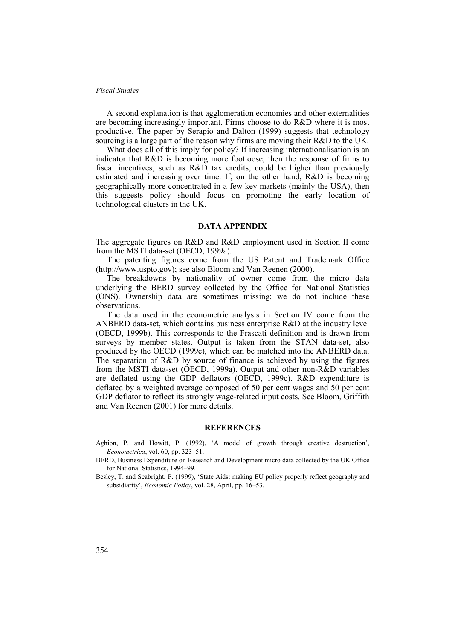A second explanation is that agglomeration economies and other externalities are becoming increasingly important. Firms choose to do R&D where it is most productive. The paper by Serapio and Dalton (1999) suggests that technology sourcing is a large part of the reason why firms are moving their R&D to the UK.

What does all of this imply for policy? If increasing internationalisation is an indicator that R&D is becoming more footloose, then the response of firms to fiscal incentives, such as R&D tax credits, could be higher than previously estimated and increasing over time. If, on the other hand, R&D is becoming geographically more concentrated in a few key markets (mainly the USA), then this suggests policy should focus on promoting the early location of technological clusters in the UK.

# **DATA APPENDIX**

The aggregate figures on R&D and R&D employment used in Section II come from the MSTI data-set (OECD, 1999a).

The patenting figures come from the US Patent and Trademark Office (http://www.uspto.gov); see also Bloom and Van Reenen (2000).

The breakdowns by nationality of owner come from the micro data underlying the BERD survey collected by the Office for National Statistics (ONS). Ownership data are sometimes missing; we do not include these observations.

The data used in the econometric analysis in Section IV come from the ANBERD data-set, which contains business enterprise R&D at the industry level (OECD, 1999b). This corresponds to the Frascati definition and is drawn from surveys by member states. Output is taken from the STAN data-set, also produced by the OECD (1999c), which can be matched into the ANBERD data. The separation of R&D by source of finance is achieved by using the figures from the MSTI data-set (OECD, 1999a). Output and other non-R&D variables are deflated using the GDP deflators (OECD, 1999c). R&D expenditure is deflated by a weighted average composed of 50 per cent wages and 50 per cent GDP deflator to reflect its strongly wage-related input costs. See Bloom, Griffith and Van Reenen (2001) for more details.

## **REFERENCES**

Aghion, P. and Howitt, P. (1992), 'A model of growth through creative destruction', *Econometrica*, vol. 60, pp. 323–51.

BERD, Business Expenditure on Research and Development micro data collected by the UK Office for National Statistics, 1994–99.

Besley, T. and Seabright, P. (1999), 'State Aids: making EU policy properly reflect geography and subsidiarity', *Economic Policy*, vol. 28, April, pp. 16–53.